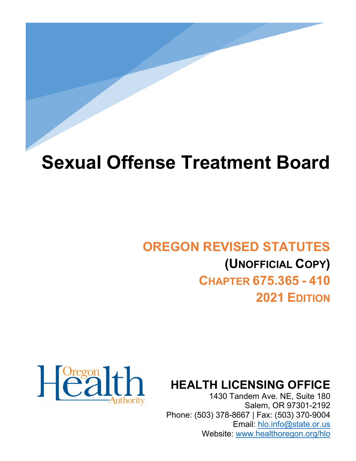# **Sexual Offense Treatment Board**

# **OREGON REVISED STATUTES (UNOFFICIAL COPY) CHAPTER 675.365 - 410 2021 EDITION**



**HEALTH LICENSING OFFICE**

1430 Tandem Ave. NE, Suite 180 Salem, OR 97301-2192 Phone: (503) 378-8667 | Fax: (503) 370-9004 Email: [hlo.info@state.or.us](mailto:hlo.info@stae.or.us) Website: [www.healthoregon.org/hlo](http://www.healthoregon.org/hlo)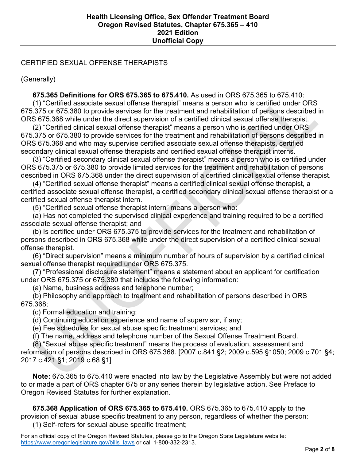## CERTIFIED SEXUAL OFFENSE THERAPISTS

(Generally)

 **675.365 Definitions for ORS 675.365 to 675.410.** As used in ORS 675.365 to 675.410: (1) "Certified associate sexual offense therapist" means a person who is certified under ORS 675.375 or 675.380 to provide services for the treatment and rehabilitation of persons described in ORS 675.368 while under the direct supervision of a certified clinical sexual offense therapist.

 (2) "Certified clinical sexual offense therapist" means a person who is certified under ORS 675.375 or 675.380 to provide services for the treatment and rehabilitation of persons described in ORS 675.368 and who may supervise certified associate sexual offense therapists, certified secondary clinical sexual offense therapists and certified sexual offense therapist interns.

 (3) "Certified secondary clinical sexual offense therapist" means a person who is certified under ORS 675.375 or 675.380 to provide limited services for the treatment and rehabilitation of persons described in ORS 675.368 under the direct supervision of a certified clinical sexual offense therapist.

 (4) "Certified sexual offense therapist" means a certified clinical sexual offense therapist, a certified associate sexual offense therapist, a certified secondary clinical sexual offense therapist or a certified sexual offense therapist intern.

(5) "Certified sexual offense therapist intern" means a person who:

 (a) Has not completed the supervised clinical experience and training required to be a certified associate sexual offense therapist; and

 (b) Is certified under ORS 675.375 to provide services for the treatment and rehabilitation of persons described in ORS 675.368 while under the direct supervision of a certified clinical sexual offense therapist.

 (6) "Direct supervision" means a minimum number of hours of supervision by a certified clinical sexual offense therapist required under ORS 675.375.

 (7) "Professional disclosure statement" means a statement about an applicant for certification under ORS 675.375 or 675.380 that includes the following information:

(a) Name, business address and telephone number;

 (b) Philosophy and approach to treatment and rehabilitation of persons described in ORS 675.368;

(c) Formal education and training;

(d) Continuing education experience and name of supervisor, if any;

(e) Fee schedules for sexual abuse specific treatment services; and

(f) The name, address and telephone number of the Sexual Offense Treatment Board.

(8) "Sexual abuse specific treatment" means the process of evaluation, assessment and

reformation of persons described in ORS 675.368. [2007 c.841 §2; 2009 c.595 §1050; 2009 c.701 §4; 2017 c.421 §1; 2019 c.68 §1]

 **Note:** 675.365 to 675.410 were enacted into law by the Legislative Assembly but were not added to or made a part of ORS chapter 675 or any series therein by legislative action. See Preface to Oregon Revised Statutes for further explanation.

 **675.368 Application of ORS 675.365 to 675.410.** ORS 675.365 to 675.410 apply to the provision of sexual abuse specific treatment to any person, regardless of whether the person:

(1) Self-refers for sexual abuse specific treatment;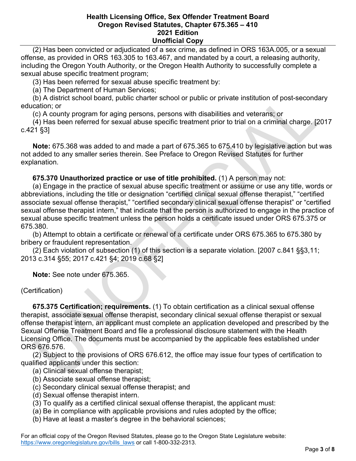(2) Has been convicted or adjudicated of a sex crime, as defined in ORS 163A.005, or a sexual offense, as provided in ORS 163.305 to 163.467, and mandated by a court, a releasing authority, including the Oregon Youth Authority, or the Oregon Health Authority to successfully complete a sexual abuse specific treatment program;

(3) Has been referred for sexual abuse specific treatment by:

(a) The Department of Human Services;

 (b) A district school board, public charter school or public or private institution of post-secondary education; or

(c) A county program for aging persons, persons with disabilities and veterans; or

 (4) Has been referred for sexual abuse specific treatment prior to trial on a criminal charge. [2017 c.421 §3]

 **Note:** 675.368 was added to and made a part of 675.365 to 675.410 by legislative action but was not added to any smaller series therein. See Preface to Oregon Revised Statutes for further explanation.

### **675.370 Unauthorized practice or use of title prohibited.** (1) A person may not:

 (a) Engage in the practice of sexual abuse specific treatment or assume or use any title, words or abbreviations, including the title or designation "certified clinical sexual offense therapist," "certified associate sexual offense therapist," "certified secondary clinical sexual offense therapist" or "certified sexual offense therapist intern," that indicate that the person is authorized to engage in the practice of sexual abuse specific treatment unless the person holds a certificate issued under ORS 675.375 or 675.380.

 (b) Attempt to obtain a certificate or renewal of a certificate under ORS 675.365 to 675.380 by bribery or fraudulent representation.

 (2) Each violation of subsection (1) of this section is a separate violation. [2007 c.841 §§3,11; 2013 c.314 §55; 2017 c.421 §4; 2019 c.68 §2]

 **Note:** See note under 675.365.

(Certification)

 **675.375 Certification; requirements.** (1) To obtain certification as a clinical sexual offense therapist, associate sexual offense therapist, secondary clinical sexual offense therapist or sexual offense therapist intern, an applicant must complete an application developed and prescribed by the Sexual Offense Treatment Board and file a professional disclosure statement with the Health Licensing Office. The documents must be accompanied by the applicable fees established under ORS 676.576.

 (2) Subject to the provisions of ORS 676.612, the office may issue four types of certification to qualified applicants under this section:

- (a) Clinical sexual offense therapist;
- (b) Associate sexual offense therapist;
- (c) Secondary clinical sexual offense therapist; and
- (d) Sexual offense therapist intern.
- (3) To qualify as a certified clinical sexual offense therapist, the applicant must:
- (a) Be in compliance with applicable provisions and rules adopted by the office;
- (b) Have at least a master's degree in the behavioral sciences;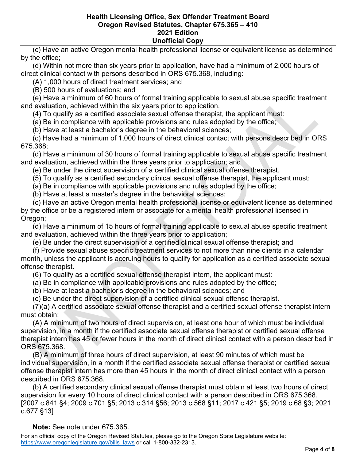(c) Have an active Oregon mental health professional license or equivalent license as determined by the office;

 (d) Within not more than six years prior to application, have had a minimum of 2,000 hours of direct clinical contact with persons described in ORS 675.368, including:

(A) 1,000 hours of direct treatment services; and

(B) 500 hours of evaluations; and

 (e) Have a minimum of 60 hours of formal training applicable to sexual abuse specific treatment and evaluation, achieved within the six years prior to application.

(4) To qualify as a certified associate sexual offense therapist, the applicant must:

(a) Be in compliance with applicable provisions and rules adopted by the office;

(b) Have at least a bachelor's degree in the behavioral sciences;

 (c) Have had a minimum of 1,000 hours of direct clinical contact with persons described in ORS 675.368;

 (d) Have a minimum of 30 hours of formal training applicable to sexual abuse specific treatment and evaluation, achieved within the three years prior to application; and

(e) Be under the direct supervision of a certified clinical sexual offense therapist.

(5) To qualify as a certified secondary clinical sexual offense therapist, the applicant must:

(a) Be in compliance with applicable provisions and rules adopted by the office;

(b) Have at least a master's degree in the behavioral sciences;

 (c) Have an active Oregon mental health professional license or equivalent license as determined by the office or be a registered intern or associate for a mental health professional licensed in Oregon:

 (d) Have a minimum of 15 hours of formal training applicable to sexual abuse specific treatment and evaluation, achieved within the three years prior to application;

(e) Be under the direct supervision of a certified clinical sexual offense therapist; and

 (f) Provide sexual abuse specific treatment services to not more than nine clients in a calendar month, unless the applicant is accruing hours to qualify for application as a certified associate sexual offense therapist.

(6) To qualify as a certified sexual offense therapist intern, the applicant must:

(a) Be in compliance with applicable provisions and rules adopted by the office;

(b) Have at least a bachelor's degree in the behavioral sciences; and

(c) Be under the direct supervision of a certified clinical sexual offense therapist.

 (7)(a) A certified associate sexual offense therapist and a certified sexual offense therapist intern must obtain:

 (A) A minimum of two hours of direct supervision, at least one hour of which must be individual supervision, in a month if the certified associate sexual offense therapist or certified sexual offense therapist intern has 45 or fewer hours in the month of direct clinical contact with a person described in ORS 675.368.

 (B) A minimum of three hours of direct supervision, at least 90 minutes of which must be individual supervision, in a month if the certified associate sexual offense therapist or certified sexual offense therapist intern has more than 45 hours in the month of direct clinical contact with a person described in ORS 675.368.

 (b) A certified secondary clinical sexual offense therapist must obtain at least two hours of direct supervision for every 10 hours of direct clinical contact with a person described in ORS 675.368. [2007 c.841 §4; 2009 c.701 §5; 2013 c.314 §56; 2013 c.568 §11; 2017 c.421 §5; 2019 c.68 §3; 2021 c.677 §13]

 **Note:** See note under 675.365.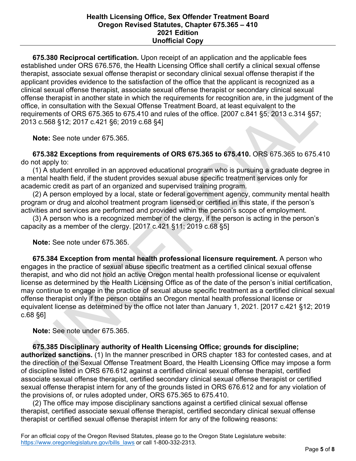**675.380 Reciprocal certification.** Upon receipt of an application and the applicable fees established under ORS 676.576, the Health Licensing Office shall certify a clinical sexual offense therapist, associate sexual offense therapist or secondary clinical sexual offense therapist if the applicant provides evidence to the satisfaction of the office that the applicant is recognized as a clinical sexual offense therapist, associate sexual offense therapist or secondary clinical sexual offense therapist in another state in which the requirements for recognition are, in the judgment of the office, in consultation with the Sexual Offense Treatment Board, at least equivalent to the requirements of ORS 675.365 to 675.410 and rules of the office. [2007 c.841 §5; 2013 c.314 §57; 2013 c.568 §12; 2017 c.421 §6; 2019 c.68 §4]

 **Note:** See note under 675.365.

 **675.382 Exceptions from requirements of ORS 675.365 to 675.410.** ORS 675.365 to 675.410 do not apply to:

 (1) A student enrolled in an approved educational program who is pursuing a graduate degree in a mental health field, if the student provides sexual abuse specific treatment services only for academic credit as part of an organized and supervised training program.

 (2) A person employed by a local, state or federal government agency, community mental health program or drug and alcohol treatment program licensed or certified in this state, if the person's activities and services are performed and provided within the person's scope of employment.

 (3) A person who is a recognized member of the clergy, if the person is acting in the person's capacity as a member of the clergy. [2017 c.421 §11; 2019 c.68 §5]

 **Note:** See note under 675.365.

 **675.384 Exception from mental health professional licensure requirement.** A person who engages in the practice of sexual abuse specific treatment as a certified clinical sexual offense therapist, and who did not hold an active Oregon mental health professional license or equivalent license as determined by the Health Licensing Office as of the date of the person's initial certification, may continue to engage in the practice of sexual abuse specific treatment as a certified clinical sexual offense therapist only if the person obtains an Oregon mental health professional license or equivalent license as determined by the office not later than January 1, 2021. [2017 c.421 §12; 2019 c.68 §6]

 **Note:** See note under 675.365.

 **675.385 Disciplinary authority of Health Licensing Office; grounds for discipline; authorized sanctions.** (1) In the manner prescribed in ORS chapter 183 for contested cases, and at the direction of the Sexual Offense Treatment Board, the Health Licensing Office may impose a form of discipline listed in ORS 676.612 against a certified clinical sexual offense therapist, certified associate sexual offense therapist, certified secondary clinical sexual offense therapist or certified sexual offense therapist intern for any of the grounds listed in ORS 676.612 and for any violation of the provisions of, or rules adopted under, ORS 675.365 to 675.410.

 (2) The office may impose disciplinary sanctions against a certified clinical sexual offense therapist, certified associate sexual offense therapist, certified secondary clinical sexual offense therapist or certified sexual offense therapist intern for any of the following reasons: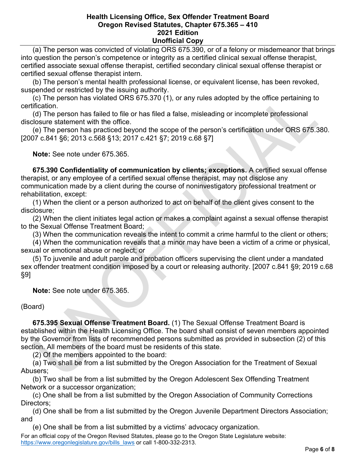(a) The person was convicted of violating ORS 675.390, or of a felony or misdemeanor that brings into question the person's competence or integrity as a certified clinical sexual offense therapist, certified associate sexual offense therapist, certified secondary clinical sexual offense therapist or certified sexual offense therapist intern.

 (b) The person's mental health professional license, or equivalent license, has been revoked, suspended or restricted by the issuing authority.

 (c) The person has violated ORS 675.370 (1), or any rules adopted by the office pertaining to certification.

 (d) The person has failed to file or has filed a false, misleading or incomplete professional disclosure statement with the office.

 (e) The person has practiced beyond the scope of the person's certification under ORS 675.380. [2007 c.841 §6; 2013 c.568 §13; 2017 c.421 §7; 2019 c.68 §7]

 **Note:** See note under 675.365.

 **675.390 Confidentiality of communication by clients; exceptions.** A certified sexual offense therapist, or any employee of a certified sexual offense therapist, may not disclose any communication made by a client during the course of noninvestigatory professional treatment or rehabilitation, except:

 (1) When the client or a person authorized to act on behalf of the client gives consent to the disclosure;

 (2) When the client initiates legal action or makes a complaint against a sexual offense therapist to the Sexual Offense Treatment Board;

(3) When the communication reveals the intent to commit a crime harmful to the client or others;

 (4) When the communication reveals that a minor may have been a victim of a crime or physical, sexual or emotional abuse or neglect; or

 (5) To juvenile and adult parole and probation officers supervising the client under a mandated sex offender treatment condition imposed by a court or releasing authority. [2007 c.841 §9; 2019 c.68 §9]

 **Note:** See note under 675.365.

# (Board)

 **675.395 Sexual Offense Treatment Board.** (1) The Sexual Offense Treatment Board is established within the Health Licensing Office. The board shall consist of seven members appointed by the Governor from lists of recommended persons submitted as provided in subsection (2) of this section. All members of the board must be residents of this state.

(2) Of the members appointed to the board:

 (a) Two shall be from a list submitted by the Oregon Association for the Treatment of Sexual Abusers;

 (b) Two shall be from a list submitted by the Oregon Adolescent Sex Offending Treatment Network or a successor organization;

 (c) One shall be from a list submitted by the Oregon Association of Community Corrections Directors;

 (d) One shall be from a list submitted by the Oregon Juvenile Department Directors Association; and

(e) One shall be from a list submitted by a victims' advocacy organization.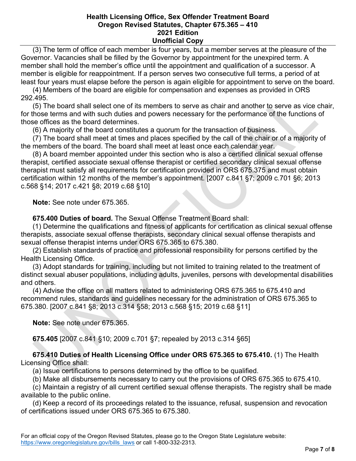(3) The term of office of each member is four years, but a member serves at the pleasure of the Governor. Vacancies shall be filled by the Governor by appointment for the unexpired term. A member shall hold the member's office until the appointment and qualification of a successor. A member is eligible for reappointment. If a person serves two consecutive full terms, a period of at least four years must elapse before the person is again eligible for appointment to serve on the board.

 (4) Members of the board are eligible for compensation and expenses as provided in ORS 292.495.

 (5) The board shall select one of its members to serve as chair and another to serve as vice chair, for those terms and with such duties and powers necessary for the performance of the functions of those offices as the board determines.

(6) A majority of the board constitutes a quorum for the transaction of business.

 (7) The board shall meet at times and places specified by the call of the chair or of a majority of the members of the board. The board shall meet at least once each calendar year.

 (8) A board member appointed under this section who is also a certified clinical sexual offense therapist, certified associate sexual offense therapist or certified secondary clinical sexual offense therapist must satisfy all requirements for certification provided in ORS 675.375 and must obtain certification within 12 months of the member's appointment. [2007 c.841 §7; 2009 c.701 §6; 2013 c.568 §14; 2017 c.421 §8; 2019 c.68 §10]

 **Note:** See note under 675.365.

 **675.400 Duties of board.** The Sexual Offense Treatment Board shall:

 (1) Determine the qualifications and fitness of applicants for certification as clinical sexual offense therapists, associate sexual offense therapists, secondary clinical sexual offense therapists and sexual offense therapist interns under ORS 675.365 to 675.380.

 (2) Establish standards of practice and professional responsibility for persons certified by the Health Licensing Office.

 (3) Adopt standards for training, including but not limited to training related to the treatment of distinct sexual abuser populations, including adults, juveniles, persons with developmental disabilities and others.

 (4) Advise the office on all matters related to administering ORS 675.365 to 675.410 and recommend rules, standards and guidelines necessary for the administration of ORS 675.365 to 675.380. [2007 c.841 §8; 2013 c.314 §58; 2013 c.568 §15; 2019 c.68 §11]

 **Note:** See note under 675.365.

 **675.405** [2007 c.841 §10; 2009 c.701 §7; repealed by 2013 c.314 §65]

 **675.410 Duties of Health Licensing Office under ORS 675.365 to 675.410.** (1) The Health Licensing Office shall:

(a) Issue certifications to persons determined by the office to be qualified.

(b) Make all disbursements necessary to carry out the provisions of ORS 675.365 to 675.410.

 (c) Maintain a registry of all current certified sexual offense therapists. The registry shall be made available to the public online.

 (d) Keep a record of its proceedings related to the issuance, refusal, suspension and revocation of certifications issued under ORS 675.365 to 675.380.